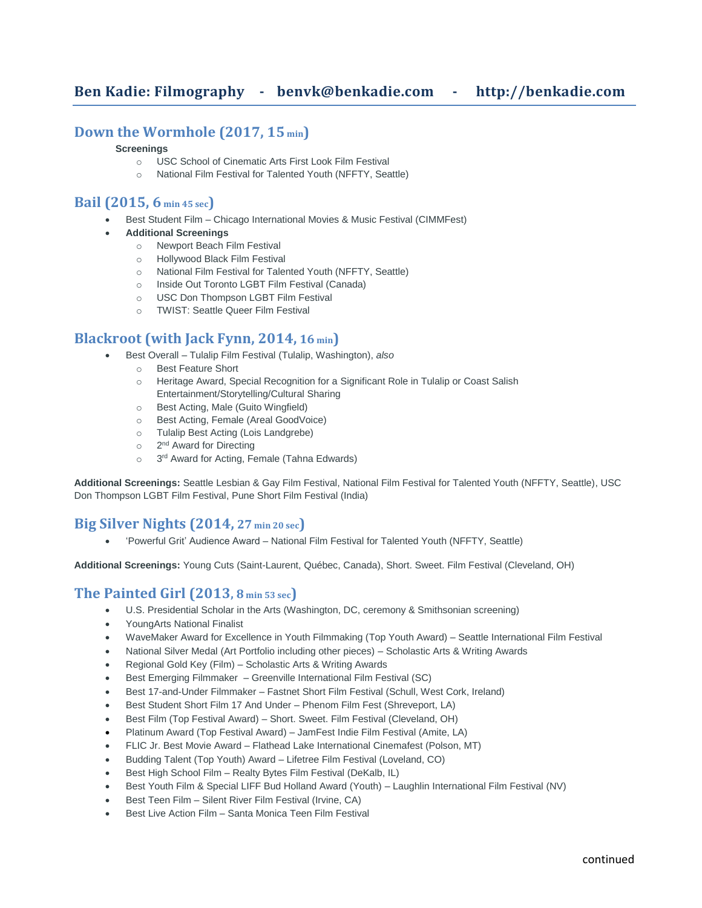# **Down the Wormhole (2017, 15 min)**

#### **Screenings**

- o USC School of Cinematic Arts First Look Film Festival
- o National Film Festival for Talented Youth (NFFTY, Seattle)

### **Bail (2015, 6 min 45 sec)**

- Best Student Film Chicago International Movies & Music Festival (CIMMFest)
- **Additional Screenings**
	- o Newport Beach Film Festival
	- o Hollywood Black Film Festival
	- o National Film Festival for Talented Youth (NFFTY, Seattle)
	- o Inside Out Toronto LGBT Film Festival (Canada)
	- o USC Don Thompson LGBT Film Festival
	- o TWIST: Seattle Queer Film Festival

## **Blackroot (with Jack Fynn, 2014, 16 min)**

- Best Overall Tulalip Film Festival (Tulalip, Washington), *also*
	- o Best Feature Short
	- o Heritage Award, Special Recognition for a Significant Role in Tulalip or Coast Salish Entertainment/Storytelling/Cultural Sharing
	- o Best Acting, Male (Guito Wingfield)
	- o Best Acting, Female (Areal GoodVoice)
	- o Tulalip Best Acting (Lois Landgrebe)
	- o 2<sup>nd</sup> Award for Directing
	- o 3<sup>rd</sup> Award for Acting, Female (Tahna Edwards)

**Additional Screenings:** Seattle Lesbian & Gay Film Festival, National Film Festival for Talented Youth (NFFTY, Seattle), USC Don Thompson LGBT Film Festival, Pune Short Film Festival (India)

# **Big Silver Nights (2014, 27 min 20 sec)**

• 'Powerful Grit' Audience Award – National Film Festival for Talented Youth (NFFTY, Seattle)

**Additional Screenings:** Young Cuts (Saint-Laurent, Québec, Canada), Short. Sweet. Film Festival (Cleveland, OH)

### **The Painted Girl (2013, 8 min 53 sec)**

- U.S. Presidential Scholar in the Arts (Washington, DC, ceremony & Smithsonian screening)
- YoungArts National Finalist
- WaveMaker Award for Excellence in Youth Filmmaking (Top Youth Award) Seattle International Film Festival
- National Silver Medal (Art Portfolio including other pieces) Scholastic Arts & Writing Awards
- Regional Gold Key (Film) Scholastic Arts & Writing Awards
- Best Emerging Filmmaker Greenville International Film Festival (SC)
- Best 17-and-Under Filmmaker Fastnet Short Film Festival (Schull, West Cork, Ireland)
- Best Student Short Film 17 And Under Phenom Film Fest (Shreveport, LA)
- Best Film (Top Festival Award) Short. Sweet. Film Festival (Cleveland, OH)
- Platinum Award (Top Festival Award) JamFest Indie Film Festival (Amite, LA)
- FLIC Jr. Best Movie Award Flathead Lake International Cinemafest (Polson, MT)
- Budding Talent (Top Youth) Award Lifetree Film Festival (Loveland, CO)
- Best High School Film Realty Bytes Film Festival (DeKalb, IL)
- Best Youth Film & Special LIFF Bud Holland Award (Youth) Laughlin International Film Festival (NV)
- Best Teen Film Silent River Film Festival (Irvine, CA)
- Best Live Action Film Santa Monica Teen Film Festival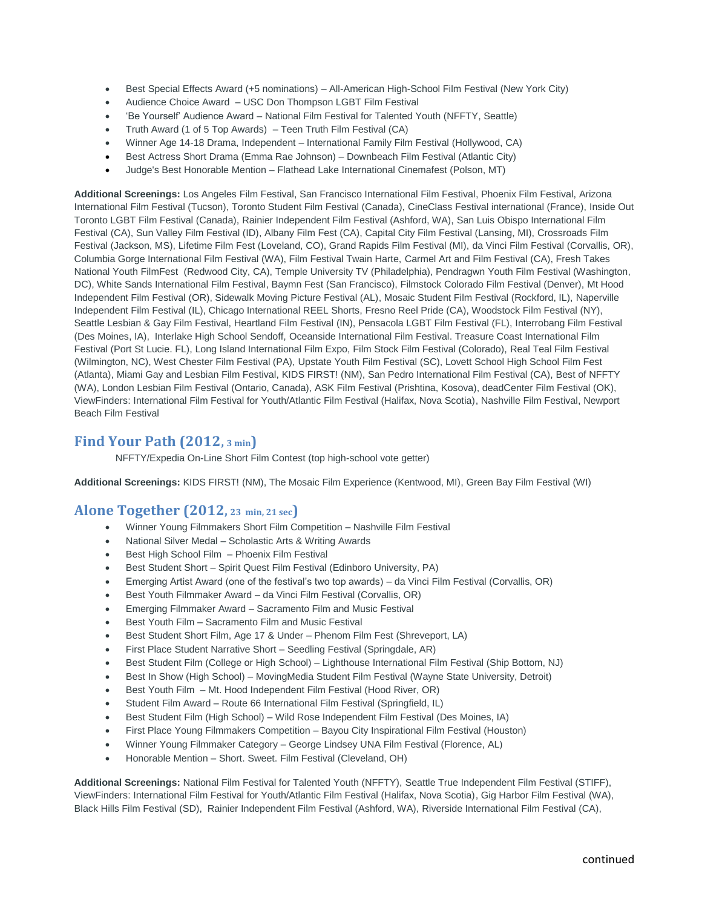- Best Special Effects Award (+5 nominations) All-American High-School Film Festival (New York City)
- Audience Choice Award USC Don Thompson LGBT Film Festival
- 'Be Yourself' Audience Award National Film Festival for Talented Youth (NFFTY, Seattle)
- Truth Award (1 of 5 Top Awards) Teen Truth Film Festival (CA)
- Winner Age 14-18 Drama, Independent International Family Film Festival (Hollywood, CA)
- Best Actress Short Drama (Emma Rae Johnson) Downbeach Film Festival (Atlantic City)
- Judge's Best Honorable Mention Flathead Lake International Cinemafest (Polson, MT)

**Additional Screenings:** Los Angeles Film Festival, San Francisco International Film Festival, Phoenix Film Festival, Arizona International Film Festival (Tucson), Toronto Student Film Festival (Canada), CineClass Festival international (France), Inside Out Toronto LGBT Film Festival (Canada), Rainier Independent Film Festival (Ashford, WA), San Luis Obispo International Film Festival (CA), Sun Valley Film Festival (ID), Albany Film Fest (CA), Capital City Film Festival (Lansing, MI), Crossroads Film Festival (Jackson, MS), Lifetime Film Fest (Loveland, CO), Grand Rapids Film Festival (MI), da Vinci Film Festival (Corvallis, OR), Columbia Gorge International Film Festival (WA), Film Festival Twain Harte, Carmel Art and Film Festival (CA), Fresh Takes National Youth FilmFest (Redwood City, CA), Temple University TV (Philadelphia), Pendragwn Youth Film Festival (Washington, DC), White Sands International Film Festival, Baymn Fest (San Francisco), Filmstock Colorado Film Festival (Denver), Mt Hood Independent Film Festival (OR), Sidewalk Moving Picture Festival (AL), Mosaic Student Film Festival (Rockford, IL), Naperville Independent Film Festival (IL), Chicago International REEL Shorts, Fresno Reel Pride (CA), Woodstock Film Festival (NY), Seattle Lesbian & Gay Film Festival, Heartland Film Festival (IN), Pensacola LGBT Film Festival (FL), Interrobang Film Festival (Des Moines, IA), Interlake High School Sendoff, Oceanside International Film Festival. Treasure Coast International Film Festival (Port St Lucie. FL), Long Island International Film Expo, Film Stock Film Festival (Colorado), Real Teal Film Festival (Wilmington, NC), West Chester Film Festival (PA), Upstate Youth Film Festival (SC), Lovett School High School Film Fest (Atlanta), Miami Gay and Lesbian Film Festival, KIDS FIRST! (NM), San Pedro International Film Festival (CA), Best of NFFTY (WA), London Lesbian Film Festival (Ontario, Canada), ASK Film Festival (Prishtina, Kosova), deadCenter Film Festival (OK), ViewFinders: International Film Festival for Youth/Atlantic Film Festival (Halifax, Nova Scotia), Nashville Film Festival, Newport Beach Film Festival

## **Find Your Path (2012, 3 min)**

NFFTY/Expedia On-Line Short Film Contest (top high-school vote getter)

**Additional Screenings:** KIDS FIRST! (NM), The Mosaic Film Experience (Kentwood, MI), Green Bay Film Festival (WI)

### **Alone Together (2012, <sup>23</sup> min, 21 sec)**

- Winner Young Filmmakers Short Film Competition Nashville Film Festival
- National Silver Medal Scholastic Arts & Writing Awards
- Best High School Film Phoenix Film Festival
- Best Student Short Spirit Quest Film Festival (Edinboro University, PA)
- Emerging Artist Award (one of the festival's two top awards) da Vinci Film Festival (Corvallis, OR)
- Best Youth Filmmaker Award da Vinci Film Festival (Corvallis, OR)
- Emerging Filmmaker Award Sacramento Film and Music Festival
- Best Youth Film Sacramento Film and Music Festival
- Best Student Short Film, Age 17 & Under Phenom Film Fest (Shreveport, LA)
- First Place Student Narrative Short Seedling Festival (Springdale, AR)
- Best Student Film (College or High School) Lighthouse International Film Festival (Ship Bottom, NJ)
- Best In Show (High School) MovingMedia Student Film Festival (Wayne State University, Detroit)
- Best Youth Film Mt. Hood Independent Film Festival (Hood River, OR)
- Student Film Award Route 66 International Film Festival (Springfield, IL)
- Best Student Film (High School) Wild Rose Independent Film Festival (Des Moines, IA)
- First Place Young Filmmakers Competition Bayou City Inspirational Film Festival (Houston)
- Winner Young Filmmaker Category George Lindsey UNA Film Festival (Florence, AL)
- Honorable Mention Short. Sweet. Film Festival (Cleveland, OH)

**Additional Screenings:** National Film Festival for Talented Youth (NFFTY), Seattle True Independent Film Festival (STIFF), ViewFinders: International Film Festival for Youth/Atlantic Film Festival (Halifax, Nova Scotia), Gig Harbor Film Festival (WA), Black Hills Film Festival (SD), Rainier Independent Film Festival (Ashford, WA), Riverside International Film Festival (CA),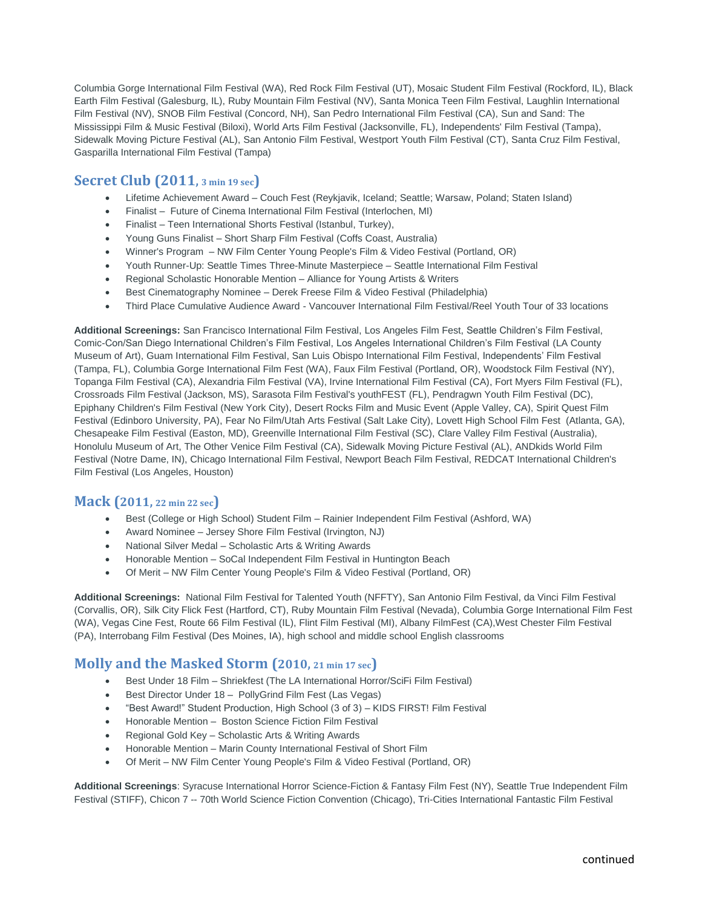Columbia Gorge International Film Festival (WA), Red Rock Film Festival (UT), Mosaic Student Film Festival (Rockford, IL), Black Earth Film Festival (Galesburg, IL), Ruby Mountain Film Festival (NV), Santa Monica Teen Film Festival, Laughlin International Film Festival (NV), SNOB Film Festival (Concord, NH), San Pedro International Film Festival (CA), Sun and Sand: The Mississippi Film & Music Festival (Biloxi), World Arts Film Festival (Jacksonville, FL), Independents' Film Festival (Tampa), Sidewalk Moving Picture Festival (AL), San Antonio Film Festival, Westport Youth Film Festival (CT), Santa Cruz Film Festival, Gasparilla International Film Festival (Tampa)

# **Secret Club (2011, 3 min 19 sec)**

- Lifetime Achievement Award Couch Fest (Reykjavik, Iceland; Seattle; Warsaw, Poland; Staten Island)
- Finalist Future of Cinema International Film Festival (Interlochen, MI)
- Finalist Teen International Shorts Festival (Istanbul, Turkey),
- Young Guns Finalist Short Sharp Film Festival (Coffs Coast, Australia)
- Winner's Program NW Film Center Young People's Film & Video Festival (Portland, OR)
- Youth Runner-Up: Seattle Times Three-Minute Masterpiece Seattle International Film Festival
- Regional Scholastic Honorable Mention Alliance for Young Artists & Writers
- Best Cinematography Nominee Derek Freese Film & Video Festival (Philadelphia)
- Third Place Cumulative Audience Award Vancouver International Film Festival/Reel Youth Tour of 33 locations

**Additional Screenings:** San Francisco International Film Festival, Los Angeles Film Fest, Seattle Children's Film Festival, Comic-Con/San Diego International Children's Film Festival, Los Angeles International Children's Film Festival (LA County Museum of Art), Guam International Film Festival, San Luis Obispo International Film Festival, Independents' Film Festival (Tampa, FL), Columbia Gorge International Film Fest (WA), Faux Film Festival (Portland, OR), Woodstock Film Festival (NY), Topanga Film Festival (CA), Alexandria Film Festival (VA), Irvine International Film Festival (CA), Fort Myers Film Festival (FL), Crossroads Film Festival (Jackson, MS), Sarasota Film Festival's youthFEST (FL), Pendragwn Youth Film Festival (DC), Epiphany Children's Film Festival (New York City), Desert Rocks Film and Music Event (Apple Valley, CA), Spirit Quest Film Festival (Edinboro University, PA), Fear No Film/Utah Arts Festival (Salt Lake City), Lovett High School Film Fest (Atlanta, GA), Chesapeake Film Festival (Easton, MD), Greenville International Film Festival (SC), Clare Valley Film Festival (Australia), Honolulu Museum of Art, The Other Venice Film Festival (CA), Sidewalk Moving Picture Festival (AL), ANDkids World Film Festival (Notre Dame, IN), Chicago International Film Festival, Newport Beach Film Festival, REDCAT International Children's Film Festival (Los Angeles, Houston)

### **Mack (2011, 22 min 22 sec)**

- Best (College or High School) Student Film Rainier Independent Film Festival (Ashford, WA)
- Award Nominee Jersey Shore Film Festival (Irvington, NJ)
- National Silver Medal Scholastic Arts & Writing Awards
- Honorable Mention SoCal Independent Film Festival in Huntington Beach
- Of Merit NW Film Center Young People's Film & Video Festival (Portland, OR)

**Additional Screenings:** National Film Festival for Talented Youth (NFFTY), San Antonio Film Festival, da Vinci Film Festival (Corvallis, OR), Silk City Flick Fest (Hartford, CT), Ruby Mountain Film Festival (Nevada), Columbia Gorge International Film Fest (WA), Vegas Cine Fest, Route 66 Film Festival (IL), Flint Film Festival (MI), Albany FilmFest (CA),West Chester Film Festival (PA), Interrobang Film Festival (Des Moines, IA), high school and middle school English classrooms

# **Molly and the Masked Storm (2010, <sup>21</sup> min 17 sec)**

- Best Under 18 Film Shriekfest (The LA International Horror/SciFi Film Festival)
- Best Director Under 18 PollyGrind Film Fest (Las Vegas)
- "Best Award!" Student Production, High School (3 of 3) KIDS FIRST! Film Festival
- Honorable Mention Boston Science Fiction Film Festival
- Regional Gold Key Scholastic Arts & Writing Awards
- Honorable Mention Marin County International Festival of Short Film
- Of Merit NW Film Center Young People's Film & Video Festival (Portland, OR)

**Additional Screenings**: Syracuse International Horror Science-Fiction & Fantasy Film Fest (NY), Seattle True Independent Film Festival (STIFF), Chicon 7 -- 70th World Science Fiction Convention (Chicago), Tri-Cities International Fantastic Film Festival